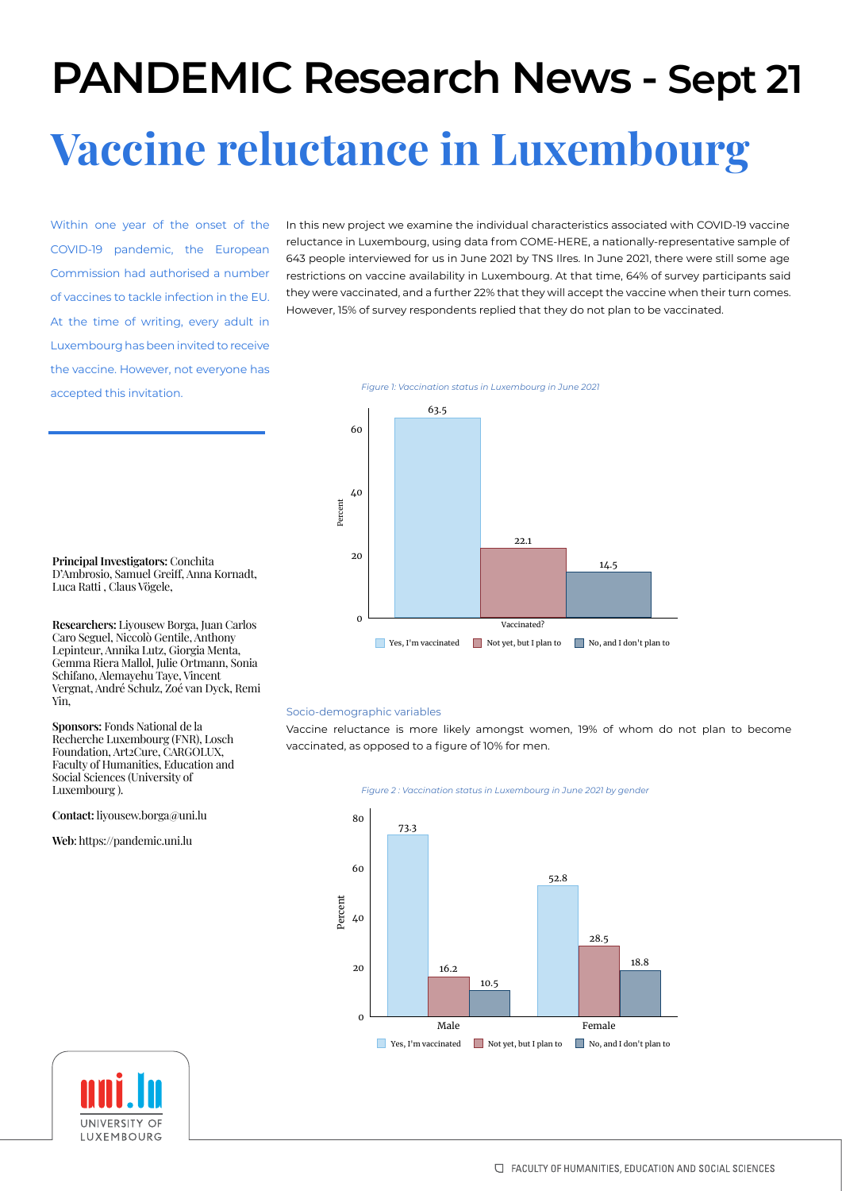# Vaccine reluctance in Luxembourg **PANDEMIC Research News - Sept 21**

Within one year of the onset of the COVID-19 pandemic, the European Commission had authorised a number of vaccines to tackle infection in the EU. At the time of writing, every adult in Luxembourg has been invited to receive the vaccine. However, not everyone has accepted this invitation.

In this new project we examine the individual characteristics associated with COVID-19 vaccine reluctance in Luxembourg, using data from COME-HERE, a nationally-representative sample of 643 people interviewed for us in June 2021 by TNS Ilres. In June 2021, there were still some age restrictions on vaccine availability in Luxembourg. At that time, 64% of survey participants said they were vaccinated, and a further 22% that they will accept the vaccine when their turn comes. However, 15% of survey respondents replied that they do not plan to be vaccinated.

*Figure 1: Vaccination status in Luxembourg in June 2021*



**Principal Investigators:** Conchita D'Ambrosio, Samuel Greiff, Anna Kornadt, Luca Ratti , Claus Vögele,

**Researchers:** Liyousew Borga, Juan Carlos Caro Seguel, Niccolò Gentile, Anthony Lepinteur, Annika Lutz, Giorgia Menta, Gemma Riera Mallol, Julie Ortmann, Sonia Schifano, Alemayehu Taye, Vincent Vergnat, André Schulz, Zoé van Dyck, Remi Yin,

**Sponsors:** Fonds National de la Recherche Luxembourg (FNR), Losch Foundation, Art2Cure, CARGOLUX, Faculty of Humanities, Education and Social Sciences (University of Luxembourg ).

**Contact:** liyousew.borga@uni.lu

**Web**: https://pandemic.uni.lu

## Socio-demographic variables

Vaccine reluctance is more likely amongst women, 19% of whom do not plan to become vaccinated, as opposed to a figure of 10% for men.





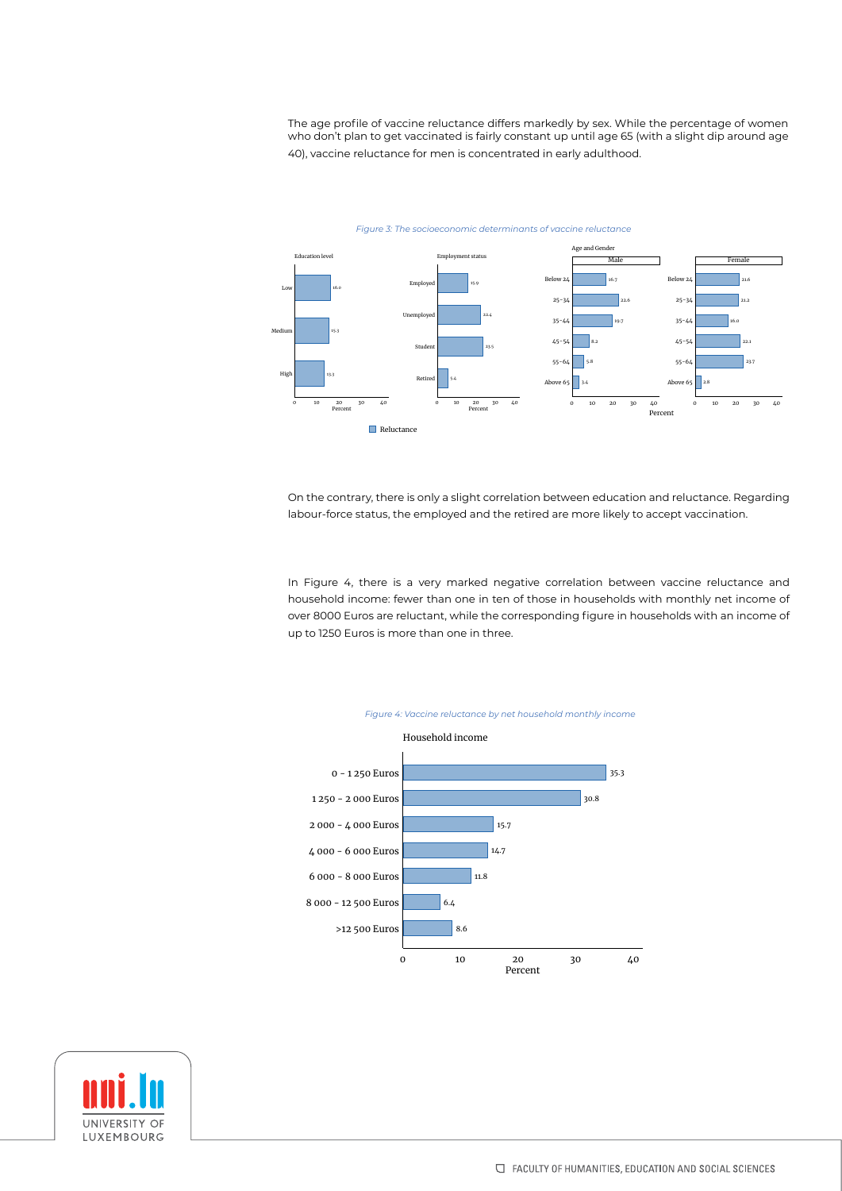The age profile of vaccine reluctance differs markedly by sex. While the percentage of women who don't plan to get vaccinated is fairly constant up until age 65 (with a slight dip around age 40), vaccine reluctance for men is concentrated in early adulthood.



On the contrary, there is only a slight correlation between education and reluctance. Regarding labour-force status, the employed and the retired are more likely to accept vaccination.

In Figure 4, there is a very marked negative correlation between vaccine reluctance and household income: fewer than one in ten of those in households with monthly net income of over 8000 Euros are reluctant, while the corresponding figure in households with an income of up to 1250 Euros is more than one in three.



UNIVERSITY OF LUXEMBOURG